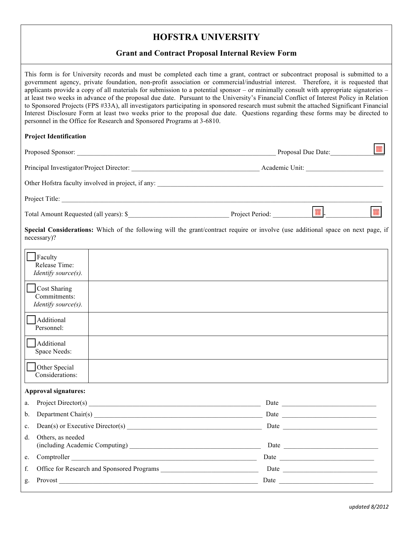## **HOFSTRA UNIVERSITY**

#### **Grant and Contract Proposal Internal Review Form**

This form is for University records and must be completed each time a grant, contract or subcontract proposal is submitted to a government agency, private foundation, non-profit association or commercial/industrial interest. Therefore, it is requested that applicants provide a copy of all materials for submission to a potential sponsor – or minimally consult with appropriate signatories – at least two weeks in advance of the proposal due date. Pursuant to the University's Financial Conflict of Interest Policy in Relation to Sponsored Projects (FPS #33A), all investigators participating in sponsored research must submit the attached Significant Financial Interest Disclosure Form at least two weeks prior to the proposal due date. Questions regarding these forms may be directed to personnel in the Office for Research and Sponsored Programs at 3-6810.

#### **Project Identification**

|                                                           |  | Project Title:                                                                                                                   |   |
|-----------------------------------------------------------|--|----------------------------------------------------------------------------------------------------------------------------------|---|
|                                                           |  |                                                                                                                                  | 蠠 |
| necessary)?                                               |  | Special Considerations: Which of the following will the grant/contract require or involve (use additional space on next page, if |   |
| Faculty<br>Release Time:<br>Identify source(s).           |  |                                                                                                                                  |   |
| Cost Sharing<br>Commitments:<br>Identify source(s).       |  |                                                                                                                                  |   |
| Additional<br>Personnel:                                  |  |                                                                                                                                  |   |
| Additional<br>Space Needs:                                |  |                                                                                                                                  |   |
| Other Special<br>Considerations:                          |  |                                                                                                                                  |   |
| $\mathbf{A}$ and $\mathbf{A}$ are the set of $\mathbf{A}$ |  |                                                                                                                                  |   |

#### **Approval signatures:**

|             |                                                     | Date has been a series of the series of the series of the series of the series of the series of the series of the series of the series of the series of the series of the series of the series of the series of the series of |
|-------------|-----------------------------------------------------|-------------------------------------------------------------------------------------------------------------------------------------------------------------------------------------------------------------------------------|
|             |                                                     | Date $\qquad \qquad$                                                                                                                                                                                                          |
|             | c. Dean(s) or Executive Director(s) $\qquad \qquad$ |                                                                                                                                                                                                                               |
| d.          | Others, as needed                                   |                                                                                                                                                                                                                               |
| $e_{\cdot}$ | Comptroller                                         |                                                                                                                                                                                                                               |
| f.          |                                                     |                                                                                                                                                                                                                               |
| g.          | Provost Provost                                     |                                                                                                                                                                                                                               |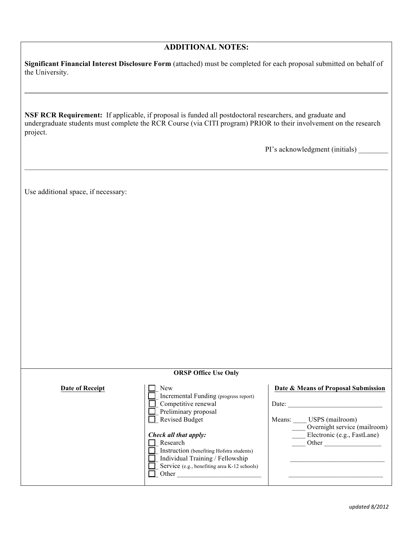### **ADDITIONAL NOTES:**

 **Significant Financial Interest Disclosure Form** (attached) must be completed for each proposal submitted on behalf of the University.

**\_\_\_\_\_\_ \_\_\_\_\_\_\_\_\_\_\_\_\_\_\_\_\_\_\_\_\_\_\_\_\_\_\_\_\_\_\_\_\_\_\_\_\_\_\_\_\_\_\_\_\_\_\_\_\_\_\_\_\_\_\_\_\_\_\_\_\_\_\_\_\_\_\_\_\_\_\_\_\_\_\_\_\_\_\_\_\_\_\_\_\_\_\_\_\_\_\_\_** 

 **NSF RCR Requirement:** If applicable, if proposal is funded all postdoctoral researchers, and graduate and undergraduate students must complete the RCR Course (via CITI program) PRIOR to their involvement on the research project.

 $\mathcal{L}_\mathcal{L} = \mathcal{L}_\mathcal{L} = \mathcal{L}_\mathcal{L} = \mathcal{L}_\mathcal{L} = \mathcal{L}_\mathcal{L} = \mathcal{L}_\mathcal{L} = \mathcal{L}_\mathcal{L} = \mathcal{L}_\mathcal{L} = \mathcal{L}_\mathcal{L} = \mathcal{L}_\mathcal{L} = \mathcal{L}_\mathcal{L} = \mathcal{L}_\mathcal{L} = \mathcal{L}_\mathcal{L} = \mathcal{L}_\mathcal{L} = \mathcal{L}_\mathcal{L} = \mathcal{L}_\mathcal{L} = \mathcal{L}_\mathcal{L}$ 

PI's acknowledgment (initials)

Use additional space, if necessary:

|                 | <b>ORSP Office Use Only</b>                                                                                                                                                                                                                                                                         |                                                                                                                                                   |
|-----------------|-----------------------------------------------------------------------------------------------------------------------------------------------------------------------------------------------------------------------------------------------------------------------------------------------------|---------------------------------------------------------------------------------------------------------------------------------------------------|
| Date of Receipt | New<br>Incremental Funding (progress report)<br>Competitive renewal<br>Preliminary proposal<br><b>Revised Budget</b><br>Check all that apply:<br>Research<br>Instruction (benefiting Hofstra students)<br>Individual Training / Fellowship<br>Service (e.g., benefiting area K-12 schools)<br>Other | Date & Means of Proposal Submission<br>Date:<br>USPS (mailroom)<br>Means:<br>Overnight service (mailroom)<br>Electronic (e.g., FastLane)<br>Other |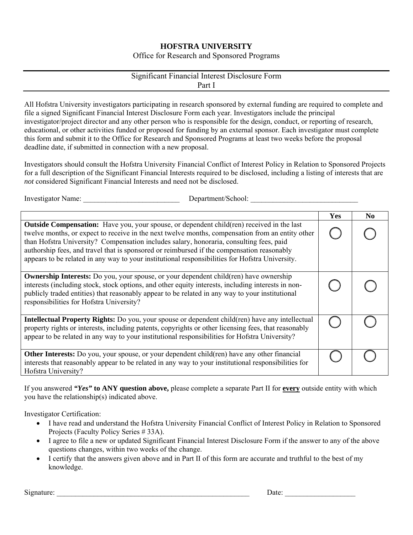## **HOFSTRA UNIVERSITY**

Office for Research and Sponsored Programs

#### Significant Financial Interest Disclosure Form Part I

All Hofstra University investigators participating in research sponsored by external funding are required to complete and file a signed Significant Financial Interest Disclosure Form each year. Investigators include the principal investigator/project director and any other person who is responsible for the design, conduct, or reporting of research, educational, or other activities funded or proposed for funding by an external sponsor. Each investigator must complete this form and submit it to the Office for Research and Sponsored Programs at least two weeks before the proposal deadline date, if submitted in connection with a new proposal.

Investigators should consult the Hofstra University Financial Conflict of Interest Policy in Relation to Sponsored Projects for a full description of the Significant Financial Interests required to be disclosed, including a listing of interests that are *not* considered Significant Financial Interests and need not be disclosed.

Investigator Name: The example of the Department/School:  $D$ epartment/School:  $D$ 

|                                                                                                                                                                                                                                                                                                                                                                                                                                                                                                  | Yes | $\bf No$ |
|--------------------------------------------------------------------------------------------------------------------------------------------------------------------------------------------------------------------------------------------------------------------------------------------------------------------------------------------------------------------------------------------------------------------------------------------------------------------------------------------------|-----|----------|
| <b>Outside Compensation:</b> Have you, your spouse, or dependent child(ren) received in the last<br>twelve months, or expect to receive in the next twelve months, compensation from an entity other<br>than Hofstra University? Compensation includes salary, honoraria, consulting fees, paid<br>authorship fees, and travel that is sponsored or reimbursed if the compensation reasonably<br>appears to be related in any way to your institutional responsibilities for Hofstra University. |     |          |
| <b>Ownership Interests:</b> Do you, your spouse, or your dependent child(ren) have ownership<br>interests (including stock, stock options, and other equity interests, including interests in non-<br>publicly traded entities) that reasonably appear to be related in any way to your institutional<br>responsibilities for Hofstra University?                                                                                                                                                |     |          |
| <b>Intellectual Property Rights:</b> Do you, your spouse or dependent child(ren) have any intellectual<br>property rights or interests, including patents, copyrights or other licensing fees, that reasonably<br>appear to be related in any way to your institutional responsibilities for Hofstra University?                                                                                                                                                                                 |     |          |
| <b>Other Interests:</b> Do you, your spouse, or your dependent child(ren) have any other financial<br>interests that reasonably appear to be related in any way to your institutional responsibilities for<br>Hofstra University?                                                                                                                                                                                                                                                                |     |          |

If you answered *"Yes"* **to ANY question above,** please complete a separate Part II for **every** outside entity with which you have the relationship(s) indicated above.

Investigator Certification:

- I have read and understand the Hofstra University Financial Conflict of Interest Policy in Relation to Sponsored Projects (Faculty Policy Series # 33A).
- I agree to file a new or updated Significant Financial Interest Disclosure Form if the answer to any of the above questions changes, within two weeks of the change.
- I certify that the answers given above and in Part II of this form are accurate and truthful to the best of my knowledge.

Signature: \_\_\_\_\_\_\_\_\_\_\_\_\_\_\_\_\_\_\_\_\_\_\_\_\_\_\_\_\_\_\_\_\_\_\_\_\_\_\_\_\_\_\_\_\_\_\_\_\_\_\_\_ Date: \_\_\_\_\_\_\_\_\_\_\_\_\_\_\_\_\_\_\_